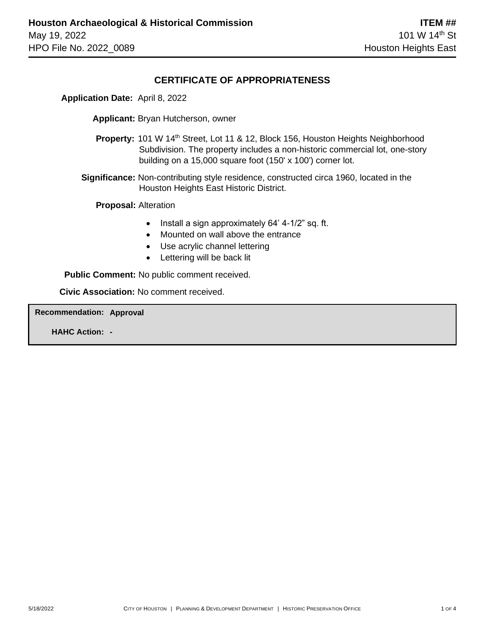### **CERTIFICATE OF APPROPRIATENESS**

 **Application Date:** April 8, 2022

**Applicant:** Bryan Hutcherson, owner

**Property:** 101 W 14<sup>th</sup> Street, Lot 11 & 12, Block 156, Houston Heights Neighborhood Subdivision. The property includes a non-historic commercial lot, one-story building on a 15,000 square foot (150' x 100') corner lot.

 **Significance:** Non-contributing style residence, constructed circa 1960, located in the Houston Heights East Historic District.

 **Proposal:** Alteration

- Install a sign approximately 64' 4-1/2" sq. ft.
- Mounted on wall above the entrance
- Use acrylic channel lettering
- Lettering will be back lit

 **Public Comment:** No public comment received.

**Civic Association:** No comment received.

**Recommendation: Approval**

**HAHC Action: -**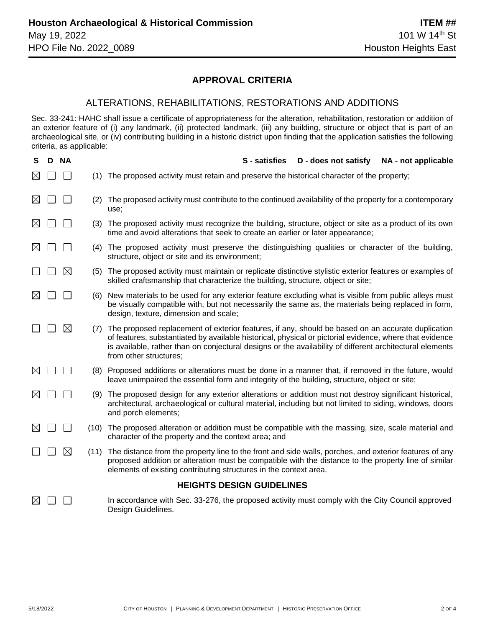## **APPROVAL CRITERIA**

#### ALTERATIONS, REHABILITATIONS, RESTORATIONS AND ADDITIONS

Sec. 33-241: HAHC shall issue a certificate of appropriateness for the alteration, rehabilitation, restoration or addition of an exterior feature of (i) any landmark, (ii) protected landmark, (iii) any building, structure or object that is part of an archaeological site, or (iv) contributing building in a historic district upon finding that the application satisfies the following criteria, as applicable:

| S                                | D. | <b>NA</b>   |      | S - satisfies<br>NA - not applicable<br>D - does not satisfy                                                                                                                                                                                                                                                                                       |
|----------------------------------|----|-------------|------|----------------------------------------------------------------------------------------------------------------------------------------------------------------------------------------------------------------------------------------------------------------------------------------------------------------------------------------------------|
| $\boxtimes$                      |    |             | (1)  | The proposed activity must retain and preserve the historical character of the property;                                                                                                                                                                                                                                                           |
| $\boxtimes$                      |    |             | (2)  | The proposed activity must contribute to the continued availability of the property for a contemporary<br>use:                                                                                                                                                                                                                                     |
| $\boxtimes$                      |    |             | (3)  | The proposed activity must recognize the building, structure, object or site as a product of its own<br>time and avoid alterations that seek to create an earlier or later appearance;                                                                                                                                                             |
| $\boxtimes$                      |    |             | (4)  | The proposed activity must preserve the distinguishing qualities or character of the building,<br>structure, object or site and its environment;                                                                                                                                                                                                   |
|                                  |    | $\boxtimes$ | (5)  | The proposed activity must maintain or replicate distinctive stylistic exterior features or examples of<br>skilled craftsmanship that characterize the building, structure, object or site;                                                                                                                                                        |
| ⊠                                |    |             | (6)  | New materials to be used for any exterior feature excluding what is visible from public alleys must<br>be visually compatible with, but not necessarily the same as, the materials being replaced in form,<br>design, texture, dimension and scale;                                                                                                |
|                                  |    | $\boxtimes$ | (7)  | The proposed replacement of exterior features, if any, should be based on an accurate duplication<br>of features, substantiated by available historical, physical or pictorial evidence, where that evidence<br>is available, rather than on conjectural designs or the availability of different architectural elements<br>from other structures; |
| $\bowtie$                        |    |             |      | (8) Proposed additions or alterations must be done in a manner that, if removed in the future, would<br>leave unimpaired the essential form and integrity of the building, structure, object or site;                                                                                                                                              |
|                                  |    |             | (9)  | The proposed design for any exterior alterations or addition must not destroy significant historical,<br>architectural, archaeological or cultural material, including but not limited to siding, windows, doors<br>and porch elements;                                                                                                            |
| К                                |    |             |      | (10) The proposed alteration or addition must be compatible with the massing, size, scale material and<br>character of the property and the context area; and                                                                                                                                                                                      |
|                                  |    | $\boxtimes$ | (11) | The distance from the property line to the front and side walls, porches, and exterior features of any<br>proposed addition or alteration must be compatible with the distance to the property line of similar<br>elements of existing contributing structures in the context area.                                                                |
| <b>HEIGHTS DESIGN GUIDELINES</b> |    |             |      |                                                                                                                                                                                                                                                                                                                                                    |
| ⋉                                |    |             |      | In accordance with Sec. 33-276, the proposed activity must comply with the City Council approved<br>Design Guidelines.                                                                                                                                                                                                                             |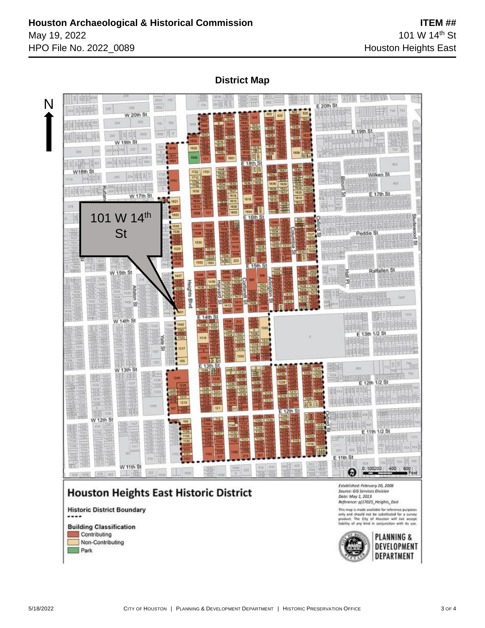**District Map**





Non-Contributing

Park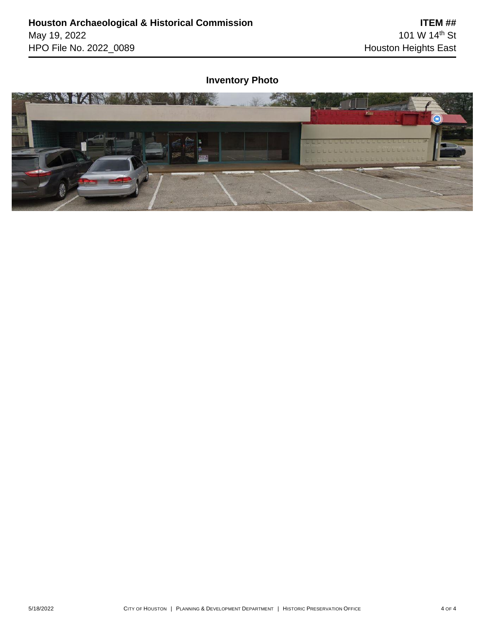# **Inventory Photo**